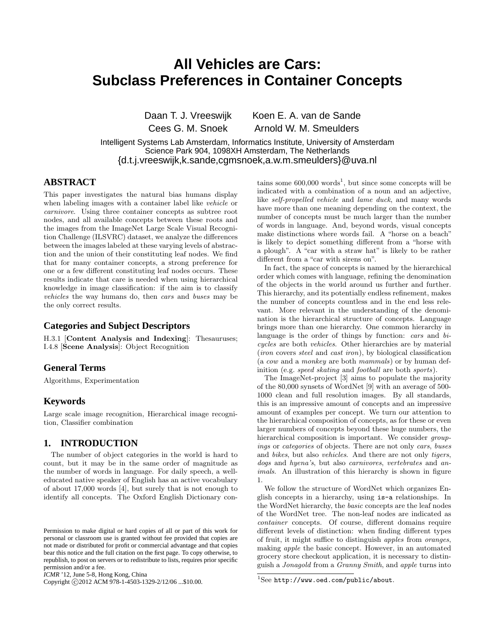# **All Vehicles are Cars: Subclass Preferences in Container Concepts**

Daan T. J. Vreeswijk Koen E. A. van de Sande

Cees G. M. Snoek Arnold W. M. Smeulders

Intelligent Systems Lab Amsterdam, Informatics Institute, University of Amsterdam Science Park 904, 1098XH Amsterdam, The Netherlands {d.t.j.vreeswijk,k.sande,cgmsnoek,a.w.m.smeulders}@uva.nl

## **ABSTRACT**

This paper investigates the natural bias humans display when labeling images with a container label like vehicle or carnivore. Using three container concepts as subtree root nodes, and all available concepts between these roots and the images from the ImageNet Large Scale Visual Recognition Challenge (ILSVRC) dataset, we analyze the differences between the images labeled at these varying levels of abstraction and the union of their constituting leaf nodes. We find that for many container concepts, a strong preference for one or a few different constituting leaf nodes occurs. These results indicate that care is needed when using hierarchical knowledge in image classification: if the aim is to classify vehicles the way humans do, then cars and buses may be the only correct results.

# **Categories and Subject Descriptors**

H.3.1 [Content Analysis and Indexing]: Thesauruses; I.4.8 [Scene Analysis]: Object Recognition

# **General Terms**

Algorithms, Experimentation

# **Keywords**

Large scale image recognition, Hierarchical image recognition, Classifier combination

## **1. INTRODUCTION**

The number of object categories in the world is hard to count, but it may be in the same order of magnitude as the number of words in language. For daily speech, a welleducated native speaker of English has an active vocabulary of about 17,000 words [4], but surely that is not enough to identify all concepts. The Oxford English Dictionary con-

Copyright C 2012 ACM 978-1-4503-1329-2/12/06 ... \$10.00.

tains some  $600,000$  words<sup>1</sup>, but since some concepts will be indicated with a combination of a noun and an adjective, like self-propelled vehicle and lame duck, and many words have more than one meaning depending on the context, the number of concepts must be much larger than the number of words in language. And, beyond words, visual concepts make distinctions where words fail. A "horse on a beach" is likely to depict something different from a "horse with a plough". A "car with a straw hat" is likely to be rather different from a "car with sirens on".

In fact, the space of concepts is named by the hierarchical order which comes with language, refining the denomination of the objects in the world around us further and further. This hierarchy, and its potentially endless refinement, makes the number of concepts countless and in the end less relevant. More relevant in the understanding of the denomination is the hierarchical structure of concepts. Language brings more than one hierarchy. One common hierarchy in language is the order of things by function: cars and bicycles are both vehicles. Other hierarchies are by material (iron covers steel and cast iron), by biological classification (a cow and a monkey are both mammals) or by human definition (e.g. speed skating and football are both sports).

The ImageNet-project [3] aims to populate the majority of the 80,000 synsets of WordNet [9] with an average of 500- 1000 clean and full resolution images. By all standards, this is an impressive amount of concepts and an impressive amount of examples per concept. We turn our attention to the hierarchical composition of concepts, as for these or even larger numbers of concepts beyond these huge numbers, the hierarchical composition is important. We consider groupings or categories of objects. There are not only cars, buses and bikes, but also vehicles. And there are not only tigers, dogs and hyena's, but also carnivores, vertebrates and animals. An illustration of this hierarchy is shown in figure 1.

We follow the structure of WordNet which organizes English concepts in a hierarchy, using is-a relationships. In the WordNet hierarchy, the basic concepts are the leaf nodes of the WordNet tree. The non-leaf nodes are indicated as container concepts. Of course, different domains require different levels of distinction: when finding different types of fruit, it might suffice to distinguish apples from oranges, making apple the basic concept. However, in an automated grocery store checkout application, it is necessary to distinguish a Jonagold from a Granny Smith, and apple turns into

Permission to make digital or hard copies of all or part of this work for personal or classroom use is granted without fee provided that copies are not made or distributed for profit or commercial advantage and that copies bear this notice and the full citation on the first page. To copy otherwise, to republish, to post on servers or to redistribute to lists, requires prior specific permission and/or a fee.

*ICMR* '12, June 5-8, Hong Kong, China

 $1$ See http://www.oed.com/public/about.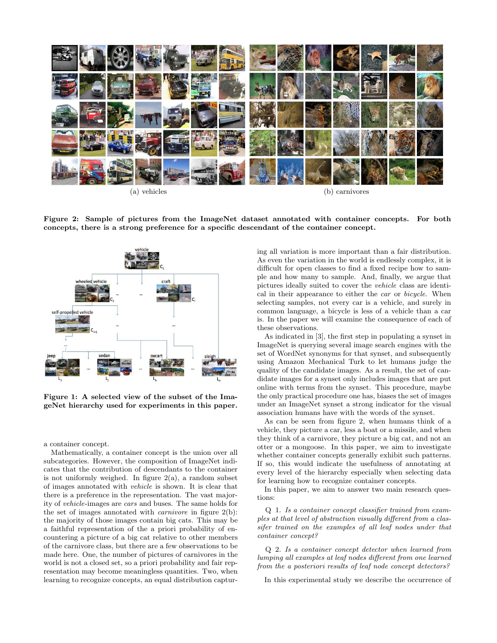

Figure 2: Sample of pictures from the ImageNet dataset annotated with container concepts. For both concepts, there is a strong preference for a specific descendant of the container concept.



Figure 1: A selected view of the subset of the ImageNet hierarchy used for experiments in this paper.

a container concept.

Mathematically, a container concept is the union over all subcategories. However, the composition of ImageNet indicates that the contribution of descendants to the container is not uniformly weighed. In figure  $2(a)$ , a random subset of images annotated with vehicle is shown. It is clear that there is a preference in the representation. The vast majority of vehicle-images are cars and buses. The same holds for the set of images annotated with carnivore in figure 2(b): the majority of those images contain big cats. This may be a faithful representation of the a priori probability of encountering a picture of a big cat relative to other members of the carnivore class, but there are a few observations to be made here. One, the number of pictures of carnivores in the world is not a closed set, so a priori probability and fair representation may become meaningless quantities. Two, when learning to recognize concepts, an equal distribution capturing all variation is more important than a fair distribution. As even the variation in the world is endlessly complex, it is difficult for open classes to find a fixed recipe how to sample and how many to sample. And, finally, we argue that pictures ideally suited to cover the vehicle class are identical in their appearance to either the car or bicycle. When selecting samples, not every car is a vehicle, and surely in common language, a bicycle is less of a vehicle than a car is. In the paper we will examine the consequence of each of these observations.

As indicated in [3], the first step in populating a synset in ImageNet is querying several image search engines with the set of WordNet synonyms for that synset, and subsequently using Amazon Mechanical Turk to let humans judge the quality of the candidate images. As a result, the set of candidate images for a synset only includes images that are put online with terms from the synset. This procedure, maybe the only practical procedure one has, biases the set of images under an ImageNet synset a strong indicator for the visual association humans have with the words of the synset.

As can be seen from figure 2, when humans think of a vehicle, they picture a car, less a boat or a missile, and when they think of a carnivore, they picture a big cat, and not an otter or a mongoose. In this paper, we aim to investigate whether container concepts generally exhibit such patterns. If so, this would indicate the usefulness of annotating at every level of the hierarchy especially when selecting data for learning how to recognize container concepts.

In this paper, we aim to answer two main research questions:

Q 1. Is a container concept classifier trained from examples at that level of abstraction visually different from a classifer trained on the examples of all leaf nodes under that container concept?

Q 2. Is a container concept detector when learned from lumping all examples at leaf nodes different from one learned from the a posteriori results of leaf node concept detectors?

In this experimental study we describe the occurrence of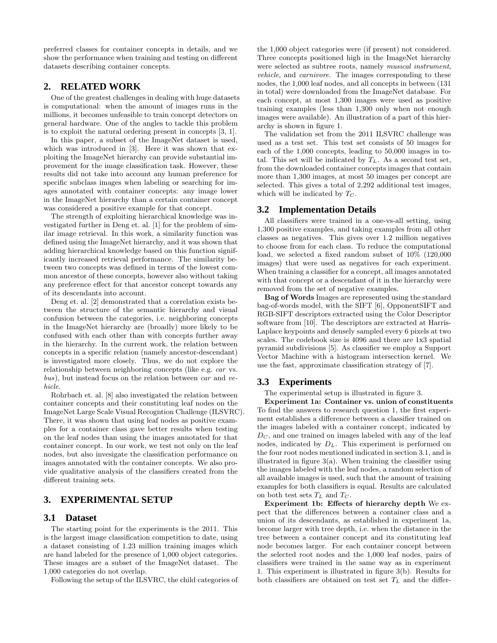preferred classes for container concepts in details, and we show the performance when training and testing on different datasets describing container concepts.

# **2. RELATED WORK**

One of the greatest challenges in dealing with huge datasets is computational: when the amount of images runs in the millions, it becomes unfeasible to train concept detectors on general hardware. One of the angles to tackle this problem is to exploit the natural ordering present in concepts [3, 1].

In this paper, a subset of the ImageNet dataset is used, which was introduced in [3]. Here it was shown that exploiting the ImageNet hierarchy can provide substantial improvement for the image classification task. However, these results did not take into account any human preference for specific subclass images when labeling or searching for images annotated with container concepts: any image lower in the ImageNet hierarchy than a certain container concept was considered a positive example for that concept.

The strength of exploiting hierarchical knowledge was investigated further in Deng et. al. [1] for the problem of similar image retrieval. In this work, a similarity function was defined using the ImageNet hierarchy, and it was shown that adding hierarchical knowledge based on this function significantly increased retrieval performance. The similarity between two concepts was defined in terms of the lowest common ancestor of these concepts, however also without taking any preference effect for that ancestor concept towards any of its descendants into account.

Deng et. al. [2] demonstrated that a correlation exists between the structure of the semantic hierarchy and visual confusion between the categories, i.e. neighboring concepts in the ImageNet hierarchy are (broadly) more likely to be confused with each other than with concepts further away in the hierarchy. In the current work, the relation between concepts in a specific relation (namely ancestor-descendant) is investigated more closely. Thus, we do not explore the relationship between neighboring concepts (like e.g. car vs. bus), but instead focus on the relation between *car* and *ve*hicle.

Rohrbach et. al. [8] also investigated the relation between container concepts and their constituting leaf nodes on the ImageNet Large Scale Visual Recogntion Challenge (ILSVRC). There, it was shown that using leaf nodes as positive examples for a container class gave better results when testing on the leaf nodes than using the images annotated for that container concept. In our work, we test not only on the leaf nodes, but also invesigate the classification performance on images annotated with the container concepts. We also provide qualitative analysis of the classifiers created from the different training sets.

# **3. EXPERIMENTAL SETUP**

## **3.1 Dataset**

The starting point for the experiments is the 2011. This is the largest image classification competition to date, using a dataset consisting of 1.23 million training images which are hand labeled for the presence of 1,000 object categories. These images are a subset of the ImageNet dataset. The 1,000 categories do not overlap.

Following the setup of the ILSVRC, the child categories of

the 1,000 object categories were (if present) not considered. Three concepts positioned high in the ImageNet hierarchy were selected as subtree roots, namely musical instrument, vehicle, and carnivore. The images corresponding to these nodes, the 1,000 leaf nodes, and all concepts in between (131 in total) were downloaded from the ImageNet database. For each concept, at most 1,300 images were used as positive training examples (less than 1,300 only when not enough images were available). An illustration of a part of this hierarchy is shown in figure 1.

The validation set from the 2011 ILSVRC challenge was used as a test set. This test set consists of 50 images for each of the 1,000 concepts, leading to 50,000 images in total. This set will be indicated by  $T_L$ . As a second test set, from the downloaded container concepts images that contain more than 1,300 images, at most 50 images per concept are selected. This gives a total of 2,292 additional test images, which will be indicated by  $T_C$ .

#### **3.2 Implementation Details**

All classifiers were trained in a one-vs-all setting, using 1,300 positive examples, and taking examples from all other classes as negatives. This gives over 1.2 million negatives to choose from for each class. To reduce the computational load, we selected a fixed random subset of 10% (120,000 images) that were used as negatives for each experiment. When training a classifier for a concept, all images annotated with that concept or a descendant of it in the hierarchy were removed from the set of negative examples.

Bag of Words Images are represented using the standard bag-of-words model, with the SIFT [6], OpponentSIFT and RGB-SIFT descriptors extracted using the Color Descriptor software from [10]. The descriptors are extracted at Harris-Laplace keypoints and densely sampled every 6 pixels at two scales. The codebook size is 4096 and there are 1x3 spatial pyramid subdivisions [5]. As classifier we employ a Support Vector Machine with a histogram intersection kernel. We use the fast, approximate classification strategy of [7].

## **3.3 Experiments**

The experimental setup is illustrated in figure 3.

Experiment 1a: Container vs. union of constituents To find the answers to research question 1, the first experiment establishes a difference between a classifier trained on the images labeled with a container concept, indicated by  $D<sub>C</sub>$ , and one trained on images labeled with any of the leaf nodes, indicated by  $D_L$ . This experiment is performed on the four root nodes mentioned indicated in section 3.1, and is illustrated in figure  $3(a)$ . When training the classifier using the images labeled with the leaf nodes, a random selection of all available images is used, such that the amount of training examples for both classifiers is equal. Results are calculated on both test sets  $T_L$  and  $T_C$ .

Experiment 1b: Effects of hierarchy depth We expect that the differences between a container class and a union of its descendants, as established in experiment 1a, become larger with tree depth, i.e. when the distance in the tree between a container concept and its constituting leaf node becomes larger. For each container concept between the selected root nodes and the 1,000 leaf nodes, pairs of classifiers were trained in the same way as in experiment 1. This experiment is illustrated in figure 3(b). Results for both classifiers are obtained on test set  $T<sub>L</sub>$  and the differ-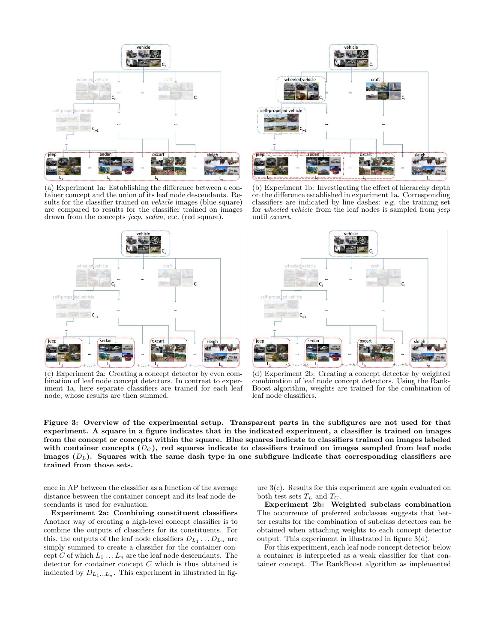

(a) Experiment 1a: Establishing the difference between a container concept and the union of its leaf node descendants. Results for the classifier trained on *vehicle* images (blue square) are compared to results for the classifier trained on images drawn from the concepts *jeep*, sedan, etc. (red square).



(c) Experiment 2a: Creating a concept detector by even combination of leaf node concept detectors. In contrast to experiment 1a, here separate classifiers are trained for each leaf node, whose results are then summed.



(b) Experiment 1b: Investigating the effect of hierarchy depth on the difference established in experiment 1a. Corresponding classifiers are indicated by line dashes: e.g. the training set for *wheeled vehicle* from the leaf nodes is sampled from *jeep* until oxcart.



(d) Experiment 2b: Creating a concept detector by weighted combination of leaf node concept detectors. Using the Rank-Boost algorithm, weights are trained for the combination of leaf node classifiers.

Figure 3: Overview of the experimental setup. Transparent parts in the subfigures are not used for that experiment. A square in a figure indicates that in the indicated experiment, a classifier is trained on images from the concept or concepts within the square. Blue squares indicate to classifiers trained on images labeled with container concepts  $(D<sub>C</sub>)$ , red squares indicate to classifiers trained on images sampled from leaf node images  $(D_L)$ . Squares with the same dash type in one subfigure indicate that corresponding classifiers are trained from those sets.

ence in AP between the classifier as a function of the average distance between the container concept and its leaf node descendants is used for evaluation.

Experiment 2a: Combining constituent classifiers Another way of creating a high-level concept classifier is to combine the outputs of classifiers for its constituents. For this, the outputs of the leaf node classifiers  $D_{L_1} \dots D_{L_n}$  are simply summed to create a classifier for the container concept C of which  $L_1 \ldots L_n$  are the leaf node descendants. The detector for container concept C which is thus obtained is indicated by  $D_{L_1...L_n}$ . This experiment in illustrated in fig-

ure 3(c). Results for this experiment are again evaluated on both test sets  $T_L$  and  $T_C$ .

Experiment 2b: Weighted subclass combination The occurrence of preferred subclasses suggests that better results for the combination of subclass detectors can be obtained when attaching weights to each concept detector output. This experiment in illustrated in figure 3(d).

For this experiment, each leaf node concept detector below a container is interpreted as a weak classifier for that container concept. The RankBoost algorithm as implemented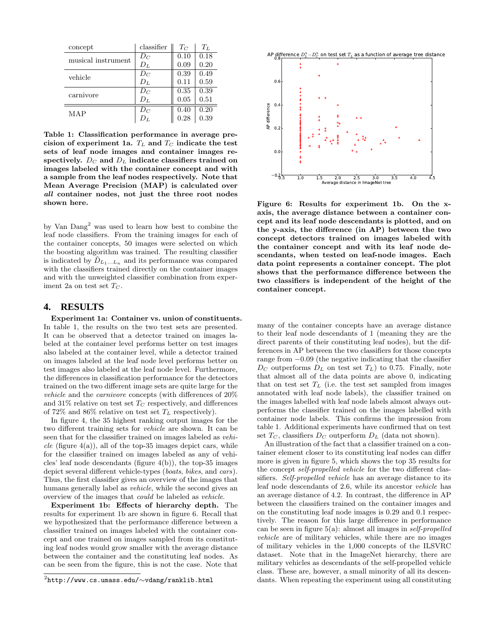| $T_L$        |
|--------------|
| 0.18<br>0.10 |
| 0.20<br>0.09 |
| 0.39<br>0.49 |
| 0.59<br>0.11 |
| 0.39<br>0.35 |
| 0.05<br>0.51 |
| 0.20<br>0.40 |
| 0.28<br>0.39 |
| $T_C$        |

Table 1: Classification performance in average precision of experiment 1a.  $T_L$  and  $T_C$  indicate the test sets of leaf node images and container images respectively.  $D_C$  and  $D_L$  indicate classifiers trained on images labeled with the container concept and with a sample from the leaf nodes respectively. Note that Mean Average Precision (MAP) is calculated over all container nodes, not just the three root nodes shown here.

by Van  $Dang<sup>2</sup>$  was used to learn how best to combine the leaf node classifiers. From the training images for each of the container concepts, 50 images were selected on which the boosting algorithm was trained. The resulting classifier is indicated by  $D_{L_1...L_n}$  and its performance was compared with the classifiers trained directly on the container images and with the unweighted classifier combination from experiment 2a on test set  $T_C$ .

# **4. RESULTS**

Experiment 1a: Container vs. union of constituents. In table 1, the results on the two test sets are presented. It can be observed that a detector trained on images labeled at the container level performs better on test images also labeled at the container level, while a detector trained on images labeled at the leaf node level performs better on test images also labeled at the leaf node level. Furthermore, the differences in classification performance for the detectors trained on the two different image sets are quite large for the vehicle and the carnivore concepts (with differences of 20% and 31% relative on test set  $T_C$  respectively, and differences of 72% and 86% relative on test set  $T_L$  respectively).

In figure 4, the 35 highest ranking output images for the two different training sets for vehicle are shown. It can be seen that for the classifier trained on images labeled as vehi $cle$  (figure  $4(a)$ ), all of the top-35 images depict cars, while for the classifier trained on images labeled as any of vehicles' leaf node descendants (figure 4(b)), the top-35 images depict several different vehicle-types (boats, bikes, and cars). Thus, the first classifier gives an overview of the images that humans generally label as *vehicle*, while the second gives an overview of the images that could be labeled as vehicle.

Experiment 1b: Effects of hierarchy depth. The results for experiment 1b are shown in figure 6. Recall that we hypothesized that the performance difference between a classifier trained on images labeled with the container concept and one trained on images sampled from its constituting leaf nodes would grow smaller with the average distance between the container and the constituting leaf nodes. As can be seen from the figure, this is not the case. Note that





Figure 6: Results for experiment 1b. On the xaxis, the average distance between a container concept and its leaf node descendants is plotted, and on the y-axis, the difference (in AP) between the two concept detectors trained on images labeled with the container concept and with its leaf node descendants, when tested on leaf-node images. Each data point represents a container concept. The plot shows that the performance difference between the two classifiers is independent of the height of the container concept.

many of the container concepts have an average distance to their leaf node descendants of 1 (meaning they are the direct parents of their constituting leaf nodes), but the differences in AP between the two classifiers for those concepts range from −0.09 (the negative indicating that the classifier  $D<sub>C</sub>$  outperforms  $D<sub>L</sub>$  on test set  $T<sub>L</sub>$ ) to 0.75. Finally, note that almost all of the data points are above 0, indicating that on test set  $T<sub>L</sub>$  (i.e. the test set sampled from images annotated with leaf node labels), the classifier trained on the images labelled with leaf node labels almost always outperforms the classifier trained on the images labelled with container node labels. This confirms the impression from table 1. Additional experiments have confirmed that on test set  $T_C$ , classifiers  $D_C$  outperform  $D_L$  (data not shown).

An illustration of the fact that a classifier trained on a container element closer to its constituting leaf nodes can differ more is given in figure 5, which shows the top 35 results for the concept self-propelled vehicle for the two different classifiers. Self-propelled vehicle has an average distance to its leaf node descendants of 2.6, while its ancestor vehicle has an average distance of 4.2. In contrast, the difference in AP between the classifiers trained on the container images and on the constituting leaf node images is 0.29 and 0.1 respectively. The reason for this large difference in performance can be seen in figure  $5(a)$ : almost all images in *self-propelled* vehicle are of military vehicles, while there are no images of military vehicles in the 1,000 concepts of the ILSVRC dataset. Note that in the ImageNet hierarchy, there are military vehicles as descendants of the self-propelled vehicle class. These are, however, a small minority of all its descendants. When repeating the experiment using all constituting

<sup>2</sup> http://www.cs.umass.edu/∼vdang/ranklib.html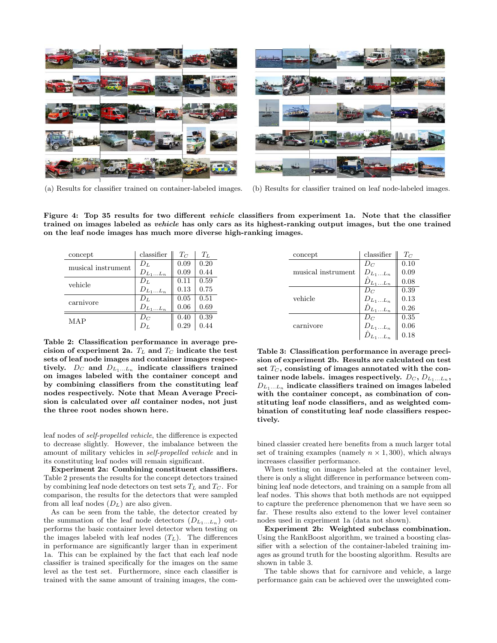

(a) Results for classifier trained on container-labeled images. (b) Results for classifier trained on leaf node-labeled images.

Figure 4: Top 35 results for two different vehicle classifiers from experiment 1a. Note that the classifier trained on images labeled as vehicle has only cars as its highest-ranking output images, but the one trained on the leaf node images has much more diverse high-ranking images.

| concept            | classifier   | $T_C$ | $T_L$ |
|--------------------|--------------|-------|-------|
| musical instrument | $D_L$        | 0.09  | 0.20  |
|                    | $D_{L_1L_n}$ | 0.09  | 0.44  |
| vehicle            | $D_L$        | 0.11  | 0.59  |
|                    | $D_{L_1L_n}$ | 0.13  | 0.75  |
| carnivore          | $D_L$        | 0.05  | 0.51  |
|                    | $D_{L_1L_n}$ | 0.06  | 0.69  |
| MAP                | $D_C$        | 0.40  | 0.39  |
|                    |              | 0.29  |       |

Table 2: Classification performance in average precision of experiment 2a.  $T_L$  and  $T_C$  indicate the test sets of leaf node images and container images respectively.  $D_C$  and  $D_{L_1...L_n}$  indicate classifiers trained on images labeled with the container concept and by combining classifiers from the constituting leaf nodes respectively. Note that Mean Average Precision is calculated over all container nodes, not just the three root nodes shown here.

leaf nodes of self-propelled vehicle, the difference is expected to decrease slightly. However, the imbalance between the amount of military vehicles in self-propelled vehicle and in its constituting leaf nodes will remain significant.

Experiment 2a: Combining constituent classifiers. Table 2 presents the results for the concept detectors trained by combining leaf node detectors on test sets  $T_L$  and  $T_C$ . For comparison, the results for the detectors that were sampled from all leaf nodes  $(D_L)$  are also given.

As can be seen from the table, the detector created by the summation of the leaf node detectors  $(D_{L_1...L_n})$  outperforms the basic container level detector when testing on the images labeled with leaf nodes  $(T_L)$ . The differences in performance are significantly larger than in experiment 1a. This can be explained by the fact that each leaf node classifier is trained specifically for the images on the same level as the test set. Furthermore, since each classifier is trained with the same amount of training images, the com-

| concept            | classifier                                                   | $T_C$ |
|--------------------|--------------------------------------------------------------|-------|
|                    | $D_C$                                                        | 0.10  |
| musical instrument | $D_{L_1L_n}$                                                 | 0.09  |
|                    | $\hat{D}_{L_1L_n}$                                           | 0.08  |
| vehicle            | $D_C$                                                        | 0.39  |
|                    | $D_{L_1}$                                                    | 0.13  |
|                    | $D_{L_1L_n}$<br>$\hat{D}_{L_1L_n}$                           | 0.26  |
| carnivore          | $D_C$                                                        | 0.35  |
|                    |                                                              | 0.06  |
|                    | $\begin{array}{l} D_{L_1L_n}\\ \hat{D}_{L_1L_n} \end{array}$ | 0.18  |

Table 3: Classification performance in average precision of experiment 2b. Results are calculated on test set  $T_C$ , consisting of images annotated with the container node labels. images respectively.  $D_C$ ,  $D_{L_1...L_n}$ ,  $D_{L_1...L_n}$  indicate classifiers trained on images labeled with the container concept, as combination of constituting leaf node classifiers, and as weighted combination of constituting leaf node classifiers respectively.

bined classier created here benefits from a much larger total set of training examples (namely  $n \times 1,300$ ), which always increases classifier performance.

When testing on images labeled at the container level, there is only a slight difference in performance between combining leaf node detectors, and training on a sample from all leaf nodes. This shows that both methods are not equipped to capture the preference phenomenon that we have seen so far. These results also extend to the lower level container nodes used in experiment 1a (data not shown).

Experiment 2b: Weighted subclass combination. Using the RankBoost algorithm, we trained a boosting classifier with a selection of the container-labeled training images as ground truth for the boosting algorithm. Results are shown in table 3.

The table shows that for carnivore and vehicle, a large performance gain can be achieved over the unweighted com-